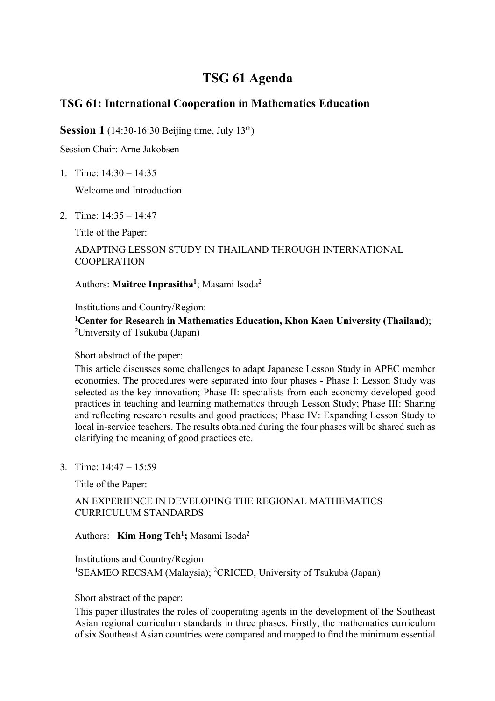# **TSG 61 Agenda**

## **TSG 61: International Cooperation in Mathematics Education**

**Session 1** (14:30-16:30 Beijing time, July 13<sup>th</sup>)

Session Chair: Arne Jakobsen

1. Time: 14:30 – 14:35

Welcome and Introduction

2. Time: 14:35 – 14:47

Title of the Paper:

### ADAPTING LESSON STUDY IN THAILAND THROUGH INTERNATIONAL COOPERATION

Authors: Maitree Inprasitha<sup>1</sup>; Masami Isoda<sup>2</sup>

Institutions and Country/Region:

**1 Center for Research in Mathematics Education, Khon Kaen University (Thailand)**; <sup>2</sup>University of Tsukuba (Japan)

Short abstract of the paper:

This article discusses some challenges to adapt Japanese Lesson Study in APEC member economies. The procedures were separated into four phases - Phase I: Lesson Study was selected as the key innovation; Phase II: specialists from each economy developed good practices in teaching and learning mathematics through Lesson Study; Phase III: Sharing and reflecting research results and good practices; Phase IV: Expanding Lesson Study to local in-service teachers. The results obtained during the four phases will be shared such as clarifying the meaning of good practices etc.

3. Time: 14:47 – 15:59

Title of the Paper:

### AN EXPERIENCE IN DEVELOPING THE REGIONAL MATHEMATICS CURRICULUM STANDARDS

### Authors: **Kim Hong Teh<sup>1</sup>**; Masami Isoda<sup>2</sup>

Institutions and Country/Region <sup>1</sup>SEAMEO RECSAM (Malaysia); <sup>2</sup>CRICED, University of Tsukuba (Japan)

Short abstract of the paper:

This paper illustrates the roles of cooperating agents in the development of the Southeast Asian regional curriculum standards in three phases. Firstly, the mathematics curriculum of six Southeast Asian countries were compared and mapped to find the minimum essential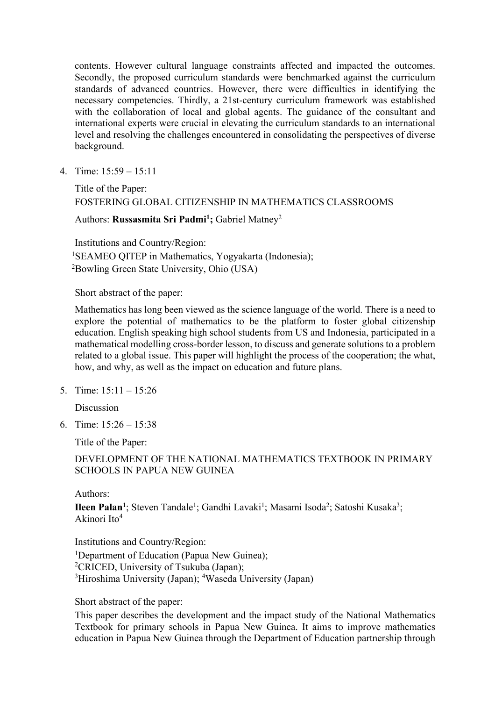contents. However cultural language constraints affected and impacted the outcomes. Secondly, the proposed curriculum standards were benchmarked against the curriculum standards of advanced countries. However, there were difficulties in identifying the necessary competencies. Thirdly, a 21st-century curriculum framework was established with the collaboration of local and global agents. The guidance of the consultant and international experts were crucial in elevating the curriculum standards to an international level and resolving the challenges encountered in consolidating the perspectives of diverse background.

4. Time: 15:59 – 15:11

## Title of the Paper: FOSTERING GLOBAL CITIZENSHIP IN MATHEMATICS CLASSROOMS

Authors: **Russasmita Sri Padmi1 ;** Gabriel Matney2

Institutions and Country/Region: <sup>1</sup>SEAMEO QITEP in Mathematics, Yogyakarta (Indonesia); 2 Bowling Green State University, Ohio (USA)

Short abstract of the paper:

Mathematics has long been viewed as the science language of the world. There is a need to explore the potential of mathematics to be the platform to foster global citizenship education. English speaking high school students from US and Indonesia, participated in a mathematical modelling cross-border lesson, to discuss and generate solutions to a problem related to a global issue. This paper will highlight the process of the cooperation; the what, how, and why, as well as the impact on education and future plans.

5. Time: 15:11 – 15:26

Discussion

6. Time: 15:26 – 15:38

Title of the Paper:

### DEVELOPMENT OF THE NATIONAL MATHEMATICS TEXTBOOK IN PRIMARY SCHOOLS IN PAPUA NEW GUINEA

Authors:

Ileen Palan<sup>1</sup>; Steven Tandale<sup>1</sup>; Gandhi Lavaki<sup>1</sup>; Masami Isoda<sup>2</sup>; Satoshi Kusaka<sup>3</sup>; Akinori Ito4

Institutions and Country/Region: <sup>1</sup>Department of Education (Papua New Guinea); <sup>2</sup>CRICED, University of Tsukuba (Japan); <sup>3</sup>Hiroshima University (Japan); <sup>4</sup>Waseda University (Japan)

Short abstract of the paper:

This paper describes the development and the impact study of the National Mathematics Textbook for primary schools in Papua New Guinea. It aims to improve mathematics education in Papua New Guinea through the Department of Education partnership through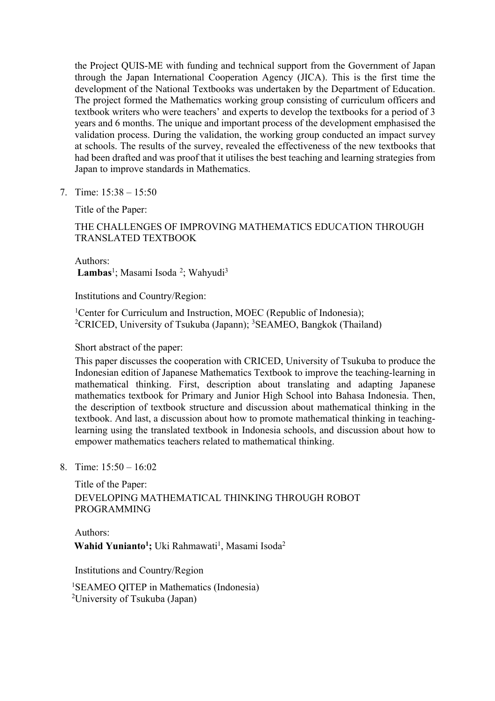the Project QUIS-ME with funding and technical support from the Government of Japan through the Japan International Cooperation Agency (JICA). This is the first time the development of the National Textbooks was undertaken by the Department of Education. The project formed the Mathematics working group consisting of curriculum officers and textbook writers who were teachers' and experts to develop the textbooks for a period of 3 years and 6 months. The unique and important process of the development emphasised the validation process. During the validation, the working group conducted an impact survey at schools. The results of the survey, revealed the effectiveness of the new textbooks that had been drafted and was proof that it utilises the best teaching and learning strategies from Japan to improve standards in Mathematics.

7. Time: 15:38 – 15:50

Title of the Paper:

### THE CHALLENGES OF IMPROVING MATHEMATICS EDUCATION THROUGH TRANSLATED TEXTBOOK

Authors: Lambas<sup>1</sup>; Masami Isoda<sup>2</sup>; Wahyudi<sup>3</sup>

Institutions and Country/Region:

<sup>1</sup>Center for Curriculum and Instruction, MOEC (Republic of Indonesia); <sup>2</sup>CRICED, University of Tsukuba (Japann); <sup>3</sup>SEAMEO, Bangkok (Thailand)

Short abstract of the paper:

This paper discusses the cooperation with CRICED, University of Tsukuba to produce the Indonesian edition of Japanese Mathematics Textbook to improve the teaching-learning in mathematical thinking. First, description about translating and adapting Japanese mathematics textbook for Primary and Junior High School into Bahasa Indonesia. Then, the description of textbook structure and discussion about mathematical thinking in the textbook. And last, a discussion about how to promote mathematical thinking in teachinglearning using the translated textbook in Indonesia schools, and discussion about how to empower mathematics teachers related to mathematical thinking.

8. Time: 15:50 – 16:02

Title of the Paper: DEVELOPING MATHEMATICAL THINKING THROUGH ROBOT PROGRAMMING

Authors: Wahid Yunianto<sup>1</sup>; Uki Rahmawati<sup>1</sup>, Masami Isoda<sup>2</sup>

Institutions and Country/Region

1 SEAMEO QITEP in Mathematics (Indonesia) <sup>2</sup>University of Tsukuba (Japan)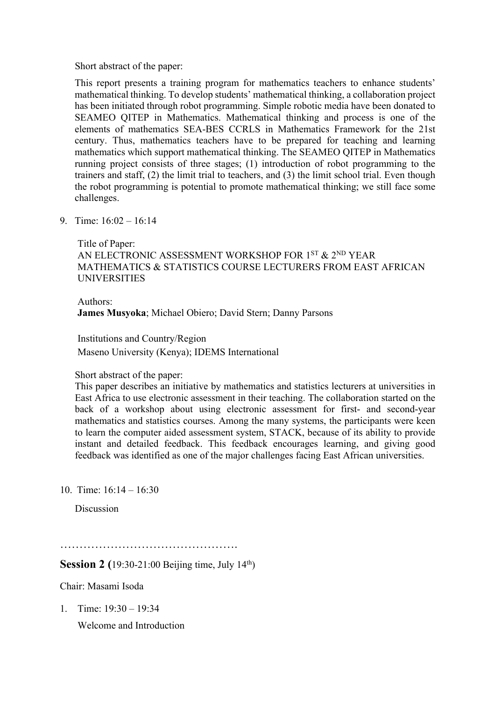Short abstract of the paper:

This report presents a training program for mathematics teachers to enhance students' mathematical thinking. To develop students' mathematical thinking, a collaboration project has been initiated through robot programming. Simple robotic media have been donated to SEAMEO QITEP in Mathematics. Mathematical thinking and process is one of the elements of mathematics SEA-BES CCRLS in Mathematics Framework for the 21st century. Thus, mathematics teachers have to be prepared for teaching and learning mathematics which support mathematical thinking. The SEAMEO QITEP in Mathematics running project consists of three stages; (1) introduction of robot programming to the trainers and staff, (2) the limit trial to teachers, and (3) the limit school trial. Even though the robot programming is potential to promote mathematical thinking; we still face some challenges.

9. Time: 16:02 – 16:14

Title of Paper:

AN ELECTRONIC ASSESSMENT WORKSHOP FOR 1ST & 2ND YEAR MATHEMATICS & STATISTICS COURSE LECTURERS FROM EAST AFRICAN UNIVERSITIES

Authors: **James Musyoka**; Michael Obiero; David Stern; Danny Parsons

Institutions and Country/Region

Maseno University (Kenya); IDEMS International

#### Short abstract of the paper:

This paper describes an initiative by mathematics and statistics lecturers at universities in East Africa to use electronic assessment in their teaching. The collaboration started on the back of a workshop about using electronic assessment for first- and second-year mathematics and statistics courses. Among the many systems, the participants were keen to learn the computer aided assessment system, STACK, because of its ability to provide instant and detailed feedback. This feedback encourages learning, and giving good feedback was identified as one of the major challenges facing East African universities.

10. Time:  $16:14 = 16:30$ 

Discussion

……………………………………….

**Session 2** (19:30-21:00 Beijing time, July 14<sup>th</sup>)

Chair: Masami Isoda

1. Time: 19:30 – 19:34

Welcome and Introduction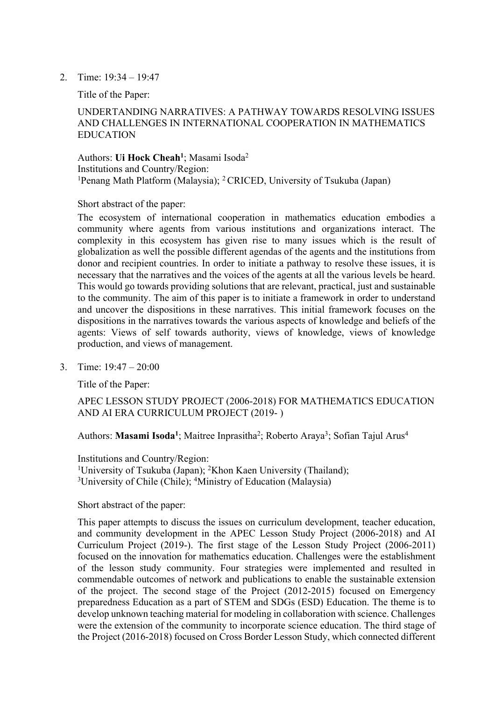2. Time: 19:34 – 19:47

Title of the Paper:

### UNDERTANDING NARRATIVES: A PATHWAY TOWARDS RESOLVING ISSUES AND CHALLENGES IN INTERNATIONAL COOPERATION IN MATHEMATICS EDUCATION

Authors: Ui Hock Cheah<sup>1</sup>; Masami Isoda<sup>2</sup> Institutions and Country/Region: <sup>1</sup>Penang Math Platform (Malaysia); <sup>2</sup> CRICED, University of Tsukuba (Japan)

Short abstract of the paper:

The ecosystem of international cooperation in mathematics education embodies a community where agents from various institutions and organizations interact. The complexity in this ecosystem has given rise to many issues which is the result of globalization as well the possible different agendas of the agents and the institutions from donor and recipient countries. In order to initiate a pathway to resolve these issues, it is necessary that the narratives and the voices of the agents at all the various levels be heard. This would go towards providing solutions that are relevant, practical, just and sustainable to the community. The aim of this paper is to initiate a framework in order to understand and uncover the dispositions in these narratives. This initial framework focuses on the dispositions in the narratives towards the various aspects of knowledge and beliefs of the agents: Views of self towards authority, views of knowledge, views of knowledge production, and views of management.

3. Time: 19:47 – 20:00

Title of the Paper:

APEC LESSON STUDY PROJECT (2006-2018) FOR MATHEMATICS EDUCATION AND AI ERA CURRICULUM PROJECT (2019- )

Authors: Masami Isoda<sup>1</sup>; Maitree Inprasitha<sup>2</sup>; Roberto Araya<sup>3</sup>; Sofian Tajul Arus<sup>4</sup>

Institutions and Country/Region: <sup>1</sup>University of Tsukuba (Japan); <sup>2</sup>Khon Kaen University (Thailand); <sup>3</sup>University of Chile (Chile); <sup>4</sup>Ministry of Education (Malaysia)

#### Short abstract of the paper:

This paper attempts to discuss the issues on curriculum development, teacher education, and community development in the APEC Lesson Study Project (2006-2018) and AI Curriculum Project (2019-). The first stage of the Lesson Study Project (2006-2011) focused on the innovation for mathematics education. Challenges were the establishment of the lesson study community. Four strategies were implemented and resulted in commendable outcomes of network and publications to enable the sustainable extension of the project. The second stage of the Project (2012-2015) focused on Emergency preparedness Education as a part of STEM and SDGs (ESD) Education. The theme is to develop unknown teaching material for modeling in collaboration with science. Challenges were the extension of the community to incorporate science education. The third stage of the Project (2016-2018) focused on Cross Border Lesson Study, which connected different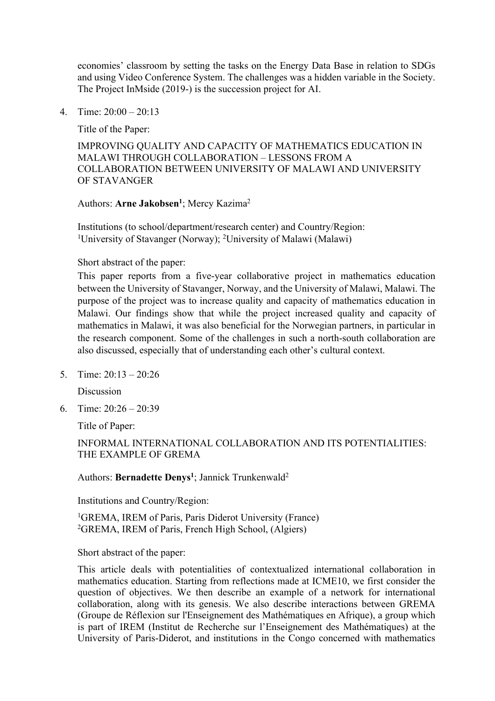economies' classroom by setting the tasks on the Energy Data Base in relation to SDGs and using Video Conference System. The challenges was a hidden variable in the Society. The Project InMside (2019-) is the succession project for AI.

4. Time: 20:00 – 20:13

Title of the Paper:

IMPROVING QUALITY AND CAPACITY OF MATHEMATICS EDUCATION IN MALAWI THROUGH COLLABORATION – LESSONS FROM A COLLABORATION BETWEEN UNIVERSITY OF MALAWI AND UNIVERSITY OF STAVANGER

#### Authors: Arne Jakobsen<sup>1</sup>; Mercy Kazima<sup>2</sup>

Institutions (to school/department/research center) and Country/Region: <sup>1</sup>University of Stavanger (Norway); <sup>2</sup>University of Malawi (Malawi)

Short abstract of the paper:

This paper reports from a five-year collaborative project in mathematics education between the University of Stavanger, Norway, and the University of Malawi, Malawi. The purpose of the project was to increase quality and capacity of mathematics education in Malawi. Our findings show that while the project increased quality and capacity of mathematics in Malawi, it was also beneficial for the Norwegian partners, in particular in the research component. Some of the challenges in such a north-south collaboration are also discussed, especially that of understanding each other's cultural context.

5. Time: 20:13 – 20:26

Discussion

6. Time: 20:26 – 20:39

Title of Paper:

INFORMAL INTERNATIONAL COLLABORATION AND ITS POTENTIALITIES: THE EXAMPLE OF GREMA

Authors: Bernadette Denys<sup>1</sup>; Jannick Trunkenwald<sup>2</sup>

Institutions and Country/Region:

<sup>1</sup>GREMA, IREM of Paris, Paris Diderot University (France) 2 GREMA, IREM of Paris, French High School, (Algiers)

Short abstract of the paper:

This article deals with potentialities of contextualized international collaboration in mathematics education. Starting from reflections made at ICME10, we first consider the question of objectives. We then describe an example of a network for international collaboration, along with its genesis. We also describe interactions between GREMA (Groupe de Réflexion sur l'Enseignement des Mathématiques en Afrique), a group which is part of IREM (Institut de Recherche sur l'Enseignement des Mathématiques) at the University of Paris-Diderot, and institutions in the Congo concerned with mathematics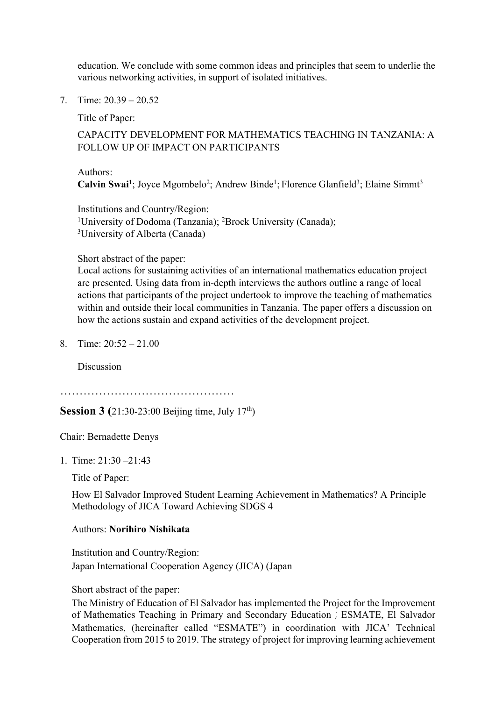education. We conclude with some common ideas and principles that seem to underlie the various networking activities, in support of isolated initiatives.

7. Time: 20.39 – 20.52

Title of Paper:

### CAPACITY DEVELOPMENT FOR MATHEMATICS TEACHING IN TANZANIA: A FOLLOW UP OF IMPACT ON PARTICIPANTS

Authors: Calvin Swai<sup>1</sup>; Joyce Mgombelo<sup>2</sup>; Andrew Binde<sup>1</sup>; Florence Glanfield<sup>3</sup>; Elaine Simmt<sup>3</sup>

Institutions and Country/Region: <sup>1</sup>University of Dodoma (Tanzania); <sup>2</sup>Brock University (Canada); <sup>3</sup>University of Alberta (Canada)

#### Short abstract of the paper:

Local actions for sustaining activities of an international mathematics education project are presented. Using data from in-depth interviews the authors outline a range of local actions that participants of the project undertook to improve the teaching of mathematics within and outside their local communities in Tanzania. The paper offers a discussion on how the actions sustain and expand activities of the development project.

8. Time: 20:52 – 21.00

**Discussion** 

………………………………………

**Session 3** (21:30-23:00 Beijing time, July 17<sup>th</sup>)

Chair: Bernadette Denys

1. Time: 21:30 –21:43

Title of Paper:

How El Salvador Improved Student Learning Achievement in Mathematics? A Principle Methodology of JICA Toward Achieving SDGS 4

Authors: **Norihiro Nishikata**

Institution and Country/Region: Japan International Cooperation Agency (JICA) (Japan

Short abstract of the paper:

The Ministry of Education of El Salvador has implemented the Project for the Improvement of Mathematics Teaching in Primary and Secondary Education; ESMATE, El Salvador Mathematics, (hereinafter called "ESMATE") in coordination with JICA' Technical Cooperation from 2015 to 2019. The strategy of project for improving learning achievement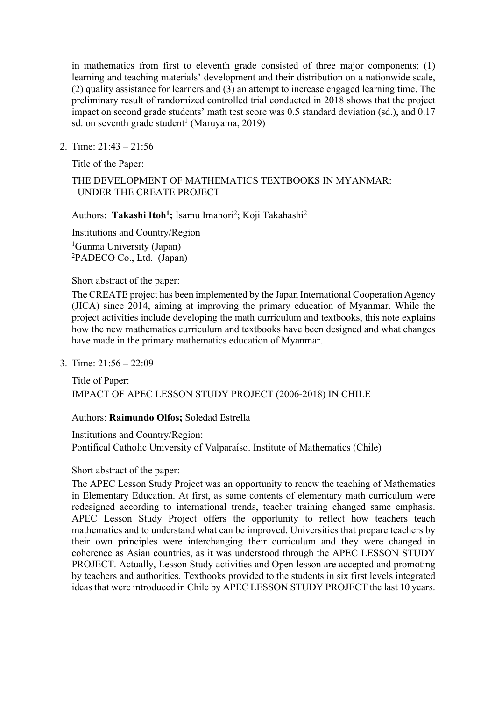in mathematics from first to eleventh grade consisted of three major components; (1) learning and teaching materials' development and their distribution on a nationwide scale, (2) quality assistance for learners and (3) an attempt to increase engaged learning time. The preliminary result of randomized controlled trial conducted in 2018 shows that the project impact on second grade students' math test score was 0.5 standard deviation (sd.), and 0.17 sd. on seventh grade student<sup>1</sup> (Maruyama, 2019)

2. Time: 21:43 – 21:56

Title of the Paper:

### THE DEVELOPMENT OF MATHEMATICS TEXTBOOKS IN MYANMAR: -UNDER THE CREATE PROJECT –

Authors: Takashi Itoh<sup>1</sup>; Isamu Imahori<sup>2</sup>; Koji Takahashi<sup>2</sup>

Institutions and Country/Region <sup>1</sup>Gunma University (Japan) 2 PADECO Co., Ltd. (Japan)

Short abstract of the paper:

The CREATE project has been implemented by the Japan International Cooperation Agency (JICA) since 2014, aiming at improving the primary education of Myanmar. While the project activities include developing the math curriculum and textbooks, this note explains how the new mathematics curriculum and textbooks have been designed and what changes have made in the primary mathematics education of Myanmar.

3. Time: 21:56 – 22:09

Title of Paper: IMPACT OF APEC LESSON STUDY PROJECT (2006-2018) IN CHILE

Authors: **Raimundo Olfos;** Soledad Estrella

Institutions and Country/Region: Pontifical Catholic University of Valparaíso. Institute of Mathematics (Chile)

### Short abstract of the paper:

The APEC Lesson Study Project was an opportunity to renew the teaching of Mathematics in Elementary Education. At first, as same contents of elementary math curriculum were redesigned according to international trends, teacher training changed same emphasis. APEC Lesson Study Project offers the opportunity to reflect how teachers teach mathematics and to understand what can be improved. Universities that prepare teachers by their own principles were interchanging their curriculum and they were changed in coherence as Asian countries, as it was understood through the APEC LESSON STUDY PROJECT. Actually, Lesson Study activities and Open lesson are accepted and promoting by teachers and authorities. Textbooks provided to the students in six first levels integrated ideas that were introduced in Chile by APEC LESSON STUDY PROJECT the last 10 years.